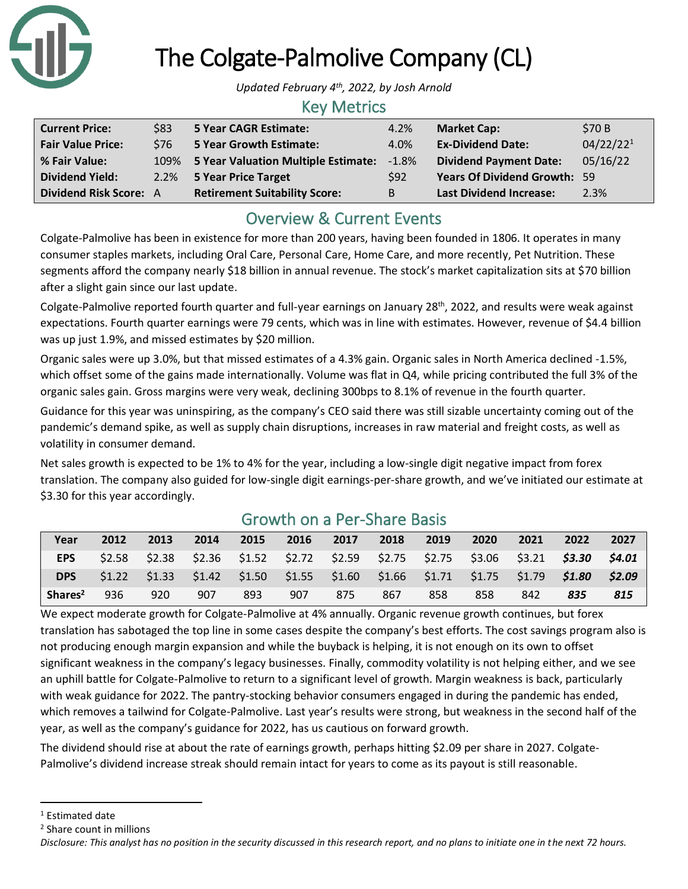

# The Colgate-Palmolive Company (CL)

*Updated February 4th , 2022, by Josh Arnold*

#### Key Metrics

| <b>Current Price:</b>    | \$83 | 5 Year CAGR Estimate:                | 4.2%            | <b>Market Cap:</b>                  | \$70 B                |
|--------------------------|------|--------------------------------------|-----------------|-------------------------------------|-----------------------|
| <b>Fair Value Price:</b> | \$76 | <b>5 Year Growth Estimate:</b>       | 4.0%            | <b>Ex-Dividend Date:</b>            | 04/22/22 <sup>1</sup> |
| % Fair Value:            | 109% | 5 Year Valuation Multiple Estimate:  | $-1.8%$         | <b>Dividend Payment Date:</b>       | 05/16/22              |
| <b>Dividend Yield:</b>   | 2.2% | 5 Year Price Target                  | S <sub>92</sub> | <b>Years Of Dividend Growth: 59</b> |                       |
| Dividend Risk Score: A   |      | <b>Retirement Suitability Score:</b> | B               | <b>Last Dividend Increase:</b>      | 2.3%                  |

# Overview & Current Events

Colgate-Palmolive has been in existence for more than 200 years, having been founded in 1806. It operates in many consumer staples markets, including Oral Care, Personal Care, Home Care, and more recently, Pet Nutrition. These segments afford the company nearly \$18 billion in annual revenue. The stock's market capitalization sits at \$70 billion after a slight gain since our last update.

Colgate-Palmolive reported fourth quarter and full-year earnings on January 28<sup>th</sup>, 2022, and results were weak against expectations. Fourth quarter earnings were 79 cents, which was in line with estimates. However, revenue of \$4.4 billion was up just 1.9%, and missed estimates by \$20 million.

Organic sales were up 3.0%, but that missed estimates of a 4.3% gain. Organic sales in North America declined -1.5%, which offset some of the gains made internationally. Volume was flat in Q4, while pricing contributed the full 3% of the organic sales gain. Gross margins were very weak, declining 300bps to 8.1% of revenue in the fourth quarter.

Guidance for this year was uninspiring, as the company's CEO said there was still sizable uncertainty coming out of the pandemic's demand spike, as well as supply chain disruptions, increases in raw material and freight costs, as well as volatility in consumer demand.

Net sales growth is expected to be 1% to 4% for the year, including a low-single digit negative impact from forex translation. The company also guided for low-single digit earnings-per-share growth, and we've initiated our estimate at \$3.30 for this year accordingly.

| Year                | 2012 | 2013 | 2014 | 2015 | 2016 | 2017                                                                                    | 2018 | 2019 | 2020 | 2021 | 2022 | 2027   |
|---------------------|------|------|------|------|------|-----------------------------------------------------------------------------------------|------|------|------|------|------|--------|
| <b>EPS</b>          |      |      |      |      |      | \$2.58 \$2.38 \$2.36 \$1.52 \$2.72 \$2.59 \$2.75 \$2.75 \$3.06 \$3.21 <b>\$3.30</b>     |      |      |      |      |      | S4.01  |
| <b>DPS</b>          |      |      |      |      |      | $$1.22$ $$1.33$ $$1.42$ $$1.50$ $$1.55$ $$1.60$ $$1.66$ $$1.71$ $$1.75$ $$1.79$ $$1.80$ |      |      |      |      |      | \$2.09 |
| Shares <sup>2</sup> | 936  | 920  | 907  | 893  | 907  | 875                                                                                     | 867  | 858  | 858  | 842  | 835  | 815    |

# Growth on a Per-Share Basis

We expect moderate growth for Colgate-Palmolive at 4% annually. Organic revenue growth continues, but forex translation has sabotaged the top line in some cases despite the company's best efforts. The cost savings program also is not producing enough margin expansion and while the buyback is helping, it is not enough on its own to offset significant weakness in the company's legacy businesses. Finally, commodity volatility is not helping either, and we see an uphill battle for Colgate-Palmolive to return to a significant level of growth. Margin weakness is back, particularly with weak guidance for 2022. The pantry-stocking behavior consumers engaged in during the pandemic has ended, which removes a tailwind for Colgate-Palmolive. Last year's results were strong, but weakness in the second half of the year, as well as the company's guidance for 2022, has us cautious on forward growth.

The dividend should rise at about the rate of earnings growth, perhaps hitting \$2.09 per share in 2027. Colgate-Palmolive's dividend increase streak should remain intact for years to come as its payout is still reasonable.

<sup>&</sup>lt;sup>1</sup> Estimated date

<sup>2</sup> Share count in millions

*Disclosure: This analyst has no position in the security discussed in this research report, and no plans to initiate one in the next 72 hours.*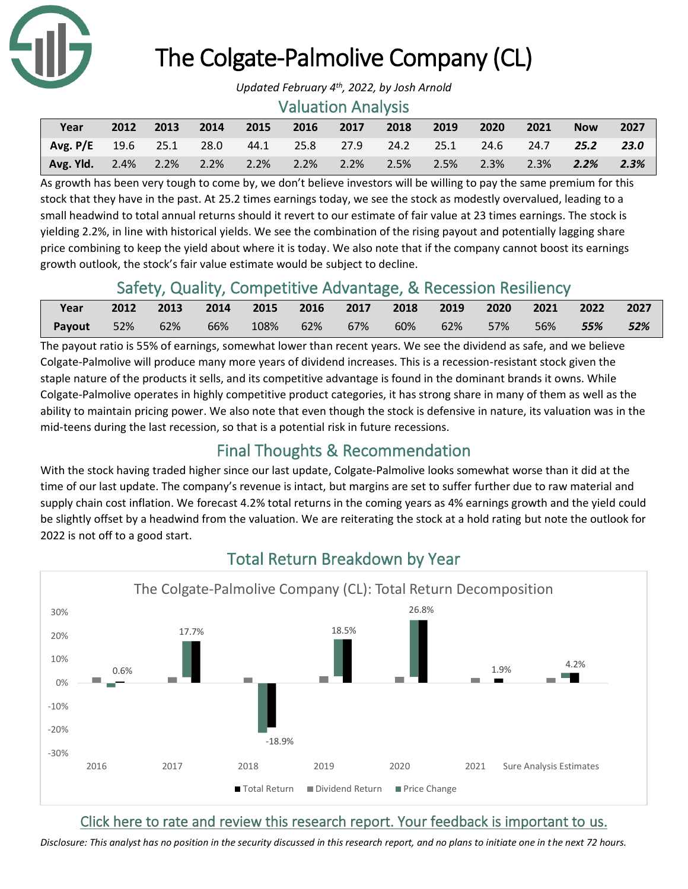

# The Colgate-Palmolive Company (CL)

#### Valuation Analysis

| Year                                                                                 | 2012 2013 | 2014 |  | 2015 2016 2017 2018 | 2019 | $\sim$ 2020 $\sim$ | 2021 | <b>Now</b> | 2027 |
|--------------------------------------------------------------------------------------|-----------|------|--|---------------------|------|--------------------|------|------------|------|
| Avg. P/E 19.6 25.1 28.0 44.1 25.8 27.9 24.2 25.1 24.6 24.7 25.2 23.0                 |           |      |  |                     |      |                    |      |            |      |
| <b>Avg. Yld.</b> 2.4% 2.2% 2.2% 2.2% 2.2% 2.2% 2.5% 2.5% 2.3% 2.3% 2.2 <b>% 2.3%</b> |           |      |  |                     |      |                    |      |            |      |

As growth has been very tough to come by, we don't believe investors will be willing to pay the same premium for this stock that they have in the past. At 25.2 times earnings today, we see the stock as modestly overvalued, leading to a small headwind to total annual returns should it revert to our estimate of fair value at 23 times earnings. The stock is yielding 2.2%, in line with historical yields. We see the combination of the rising payout and potentially lagging share price combining to keep the yield about where it is today. We also note that if the company cannot boost its earnings growth outlook, the stock's fair value estimate would be subject to decline.

# Safety, Quality, Competitive Advantage, & Recession Resiliency

| Year                  |  | 2012 2013 2014 2015 2016 2017 2018 2019 2020 2021 2022 2027 |  |                                         |  |  |     |
|-----------------------|--|-------------------------------------------------------------|--|-----------------------------------------|--|--|-----|
| <b>Payout</b> 52% 62% |  | 66%                                                         |  | 108% 62% 67% 60% 62% 57% 56% <b>55%</b> |  |  | 52% |

The payout ratio is 55% of earnings, somewhat lower than recent years. We see the dividend as safe, and we believe Colgate-Palmolive will produce many more years of dividend increases. This is a recession-resistant stock given the staple nature of the products it sells, and its competitive advantage is found in the dominant brands it owns. While Colgate-Palmolive operates in highly competitive product categories, it has strong share in many of them as well as the ability to maintain pricing power. We also note that even though the stock is defensive in nature, its valuation was in the mid-teens during the last recession, so that is a potential risk in future recessions.

# Final Thoughts & Recommendation

With the stock having traded higher since our last update, Colgate-Palmolive looks somewhat worse than it did at the time of our last update. The company's revenue is intact, but margins are set to suffer further due to raw material and supply chain cost inflation. We forecast 4.2% total returns in the coming years as 4% earnings growth and the yield could be slightly offset by a headwind from the valuation. We are reiterating the stock at a hold rating but note the outlook for 2022 is not off to a good start.



# Total Return Breakdown by Year

#### [Click here to rate and review this research report. Your feedback is important to us.](https://suredividend.typeform.com/to/e7Q96E)

*Disclosure: This analyst has no position in the security discussed in this research report, and no plans to initiate one in the next 72 hours.*

*Updated February 4th , 2022, by Josh Arnold*